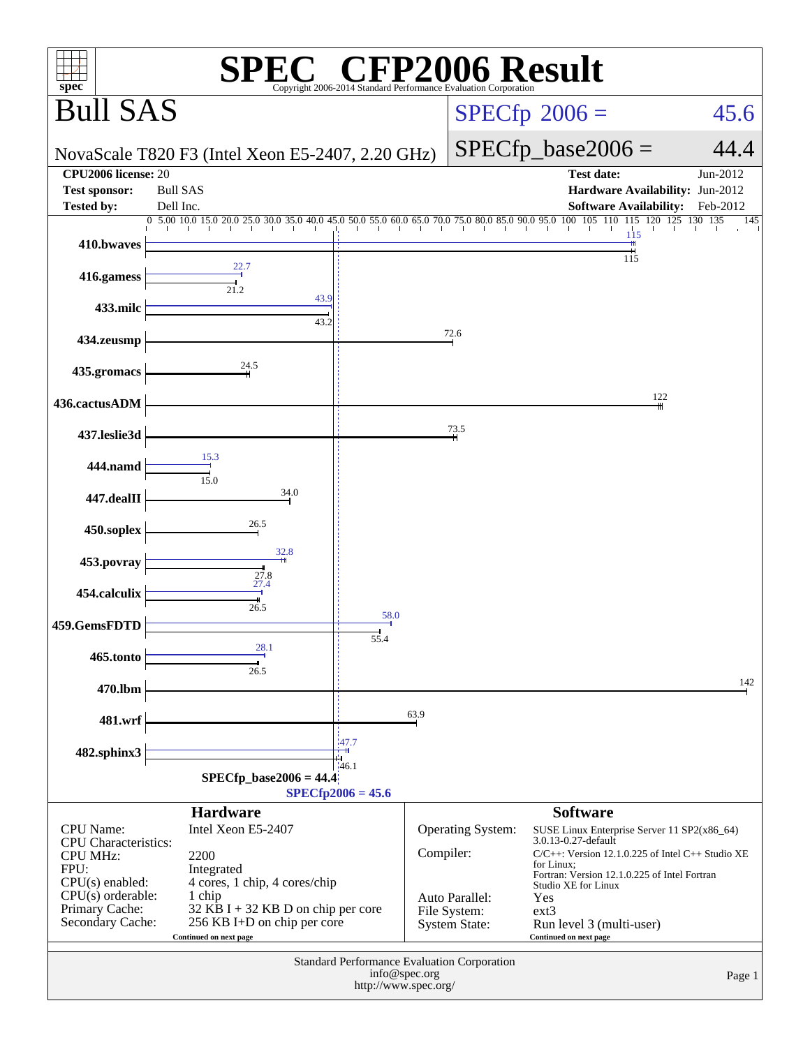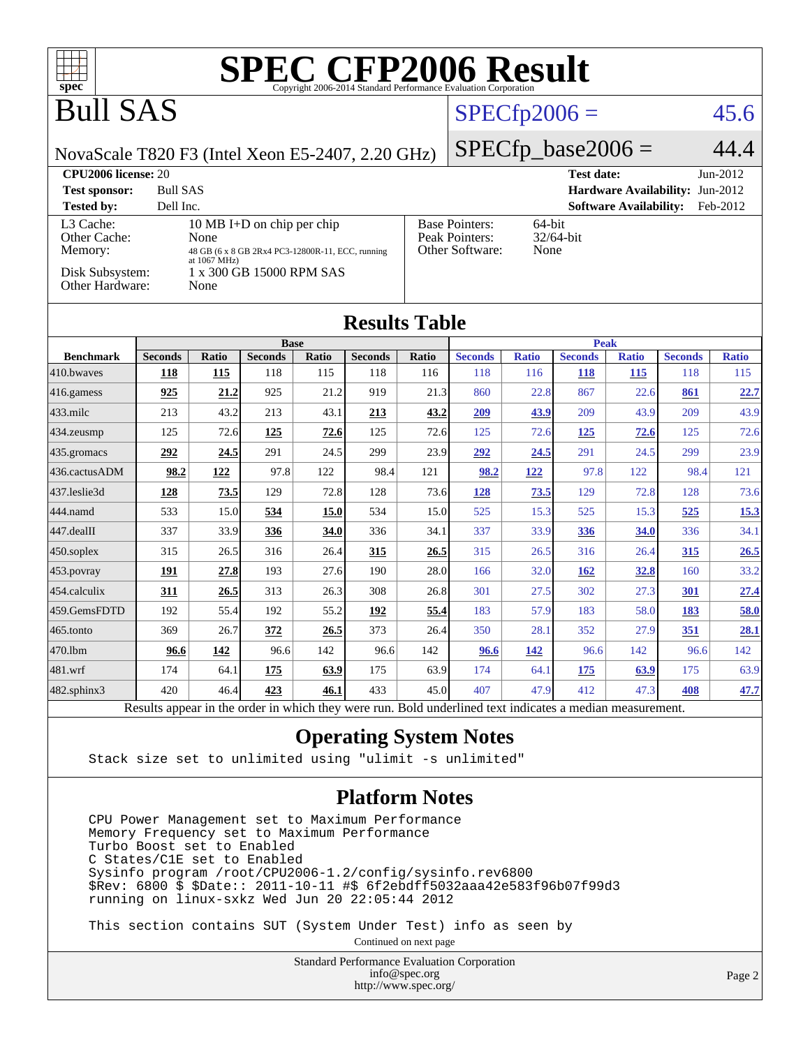| T T<br>$spec^{\circ}$                            |                                                                                                          |                      |                                                                                |              | <b>SPEC CFP2006 Result</b><br>Copyright 2006-2014 Standard Performance Evaluation Corporation |                     |                                                            |                     |                       |                               |                                 |                     |
|--------------------------------------------------|----------------------------------------------------------------------------------------------------------|----------------------|--------------------------------------------------------------------------------|--------------|-----------------------------------------------------------------------------------------------|---------------------|------------------------------------------------------------|---------------------|-----------------------|-------------------------------|---------------------------------|---------------------|
| <b>Bull SAS</b>                                  |                                                                                                          |                      |                                                                                |              |                                                                                               |                     |                                                            | $SPECfp2006 =$      |                       |                               |                                 | 45.6                |
| NovaScale T820 F3 (Intel Xeon E5-2407, 2.20 GHz) |                                                                                                          |                      |                                                                                |              |                                                                                               |                     |                                                            |                     | $SPECfp\_base2006 =$  |                               |                                 | 44.4                |
| CPU2006 license: 20<br><b>Test sponsor:</b>      | <b>Bull SAS</b>                                                                                          |                      |                                                                                |              |                                                                                               |                     |                                                            |                     | <b>Test date:</b>     |                               | Hardware Availability: Jun-2012 | Jun-2012            |
| <b>Tested by:</b>                                | Dell Inc.                                                                                                |                      |                                                                                |              |                                                                                               |                     |                                                            |                     |                       | <b>Software Availability:</b> |                                 | Feb-2012            |
| L3 Cache:<br>Other Cache:<br>Memory:             |                                                                                                          | None<br>at 1067 MHz) | 10 MB I+D on chip per chip<br>48 GB (6 x 8 GB 2Rx4 PC3-12800R-11, ECC, running |              |                                                                                               |                     | <b>Base Pointers:</b><br>Peak Pointers:<br>Other Software: | 64-bit<br>None      | 32/64-bit             |                               |                                 |                     |
| Disk Subsystem:<br>Other Hardware:               |                                                                                                          | None                 | 1 x 300 GB 15000 RPM SAS                                                       |              |                                                                                               |                     |                                                            |                     |                       |                               |                                 |                     |
|                                                  |                                                                                                          |                      |                                                                                |              | <b>Results Table</b>                                                                          |                     |                                                            |                     |                       |                               |                                 |                     |
|                                                  |                                                                                                          |                      | <b>Base</b>                                                                    |              |                                                                                               |                     |                                                            |                     | <b>Peak</b>           |                               |                                 |                     |
| <b>Benchmark</b><br>410.bwaves                   | <b>Seconds</b><br>118                                                                                    | Ratio<br>115         | <b>Seconds</b><br>118                                                          | Ratio<br>115 | <b>Seconds</b><br>118                                                                         | <b>Ratio</b><br>116 | <b>Seconds</b><br>118                                      | <b>Ratio</b><br>116 | <b>Seconds</b><br>118 | <b>Ratio</b><br>115           | <b>Seconds</b><br>118           | <b>Ratio</b><br>115 |
| 416.gamess                                       | 925                                                                                                      | 21.2                 | 925                                                                            | 21.2         | 919                                                                                           | 21.3                | 860                                                        | 22.8                | 867                   | 22.6                          | 861                             | 22.7                |
| $433$ .milc                                      | 213                                                                                                      | 43.2                 | 213                                                                            | 43.1         | 213                                                                                           | 43.2                | 209                                                        | 43.9                | 209                   | 43.9                          | 209                             | 43.9                |
| 434.zeusmp                                       | 125                                                                                                      | 72.6                 | 125                                                                            | 72.6         | 125                                                                                           | 72.6                | 125                                                        | 72.6                | 125                   | 72.6                          | 125                             | 72.6                |
| 435.gromacs                                      | 292                                                                                                      | 24.5                 | 291                                                                            | 24.5         | 299                                                                                           | 23.9                | 292                                                        | 24.5                | 291                   | 24.5                          | 299                             | 23.9                |
| 436.cactusADM                                    | 98.2                                                                                                     | 122                  | 97.8                                                                           | 122          | 98.4                                                                                          | 121                 | 98.2                                                       | 122                 | 97.8                  | 122                           | 98.4                            | 121                 |
| 437.leslie3d                                     | <u>128</u>                                                                                               | 73.5                 | 129                                                                            | 72.8         | 128                                                                                           | 73.6                | 128                                                        | 73.5                | 129                   | 72.8                          | 128                             | 73.6                |
| 444.namd                                         | 533                                                                                                      | 15.0                 | 534                                                                            | 15.0         | 534                                                                                           | 15.0                | 525                                                        | 15.3                | 525                   | 15.3                          | 525                             | 15.3                |
| 447.dealII                                       | 337                                                                                                      | 33.9                 | 336                                                                            | 34.0         | 336                                                                                           | 34.1                | 337                                                        | 33.9                | 336                   | 34.0                          | 336                             | 34.1                |
| $450$ .soplex                                    | 315                                                                                                      | 26.5                 | 316                                                                            | 26.4         | 315                                                                                           | 26.5                | 315                                                        | 26.5                | 316                   | 26.4                          | 315                             | 26.5                |
| $ 453$ . povray                                  | 191                                                                                                      | 27.8                 | 193                                                                            | 27.6         | 190                                                                                           | 28.0                | 166                                                        | 32.0                | 162                   | 32.8                          | 160                             | 33.2                |
| 454.calculix                                     | 311                                                                                                      | 26.5                 | 313                                                                            | 26.3         | 308                                                                                           | 26.8                | 301                                                        | 27.5                | 302                   | 27.3                          | 301                             | 27.4                |
| 459.GemsFDTD                                     | 192                                                                                                      | 55.4                 | 192                                                                            | 55.2         | 192                                                                                           | 55.4                | 183                                                        | 57.9                | 183                   | 58.0                          | 183                             | 58.0                |
| 465.tonto                                        | 369                                                                                                      | 26.7                 | 372                                                                            | 26.5         | 373                                                                                           | 26.4                | 350                                                        | 28.1                | 352                   | 27.9                          | 351                             | 28.1                |
| 470.1bm                                          | 96.6                                                                                                     | 142                  | 96.6                                                                           | 142          | 96.6                                                                                          | 142                 | 96.6                                                       | 142                 | 96.6                  | 142                           | 96.6                            | 142                 |
| 481.wrf                                          | 174                                                                                                      | 64.1                 | 175                                                                            | 63.9         | 175                                                                                           | 63.9                | 174                                                        | 64.1                | 175                   | 63.9                          | 175                             | 63.9                |
| 482.sphinx3                                      | 420                                                                                                      | 46.4                 | 423                                                                            | 46.1         | 433                                                                                           | 45.0                | 407                                                        | 47.9                | 412                   | 47.3                          | 408                             | 47.7                |
|                                                  | Results appear in the order in which they were run. Bold underlined text indicates a median measurement. |                      |                                                                                |              |                                                                                               |                     |                                                            |                     |                       |                               |                                 |                     |

### **[Operating System Notes](http://www.spec.org/auto/cpu2006/Docs/result-fields.html#OperatingSystemNotes)**

Stack size set to unlimited using "ulimit -s unlimited"

### **[Platform Notes](http://www.spec.org/auto/cpu2006/Docs/result-fields.html#PlatformNotes)**

 CPU Power Management set to Maximum Performance Memory Frequency set to Maximum Performance Turbo Boost set to Enabled C States/C1E set to Enabled Sysinfo program /root/CPU2006-1.2/config/sysinfo.rev6800 \$Rev: 6800 \$ \$Date:: 2011-10-11 #\$ 6f2ebdff5032aaa42e583f96b07f99d3 running on linux-sxkz Wed Jun 20 22:05:44 2012

This section contains SUT (System Under Test) info as seen by

Continued on next page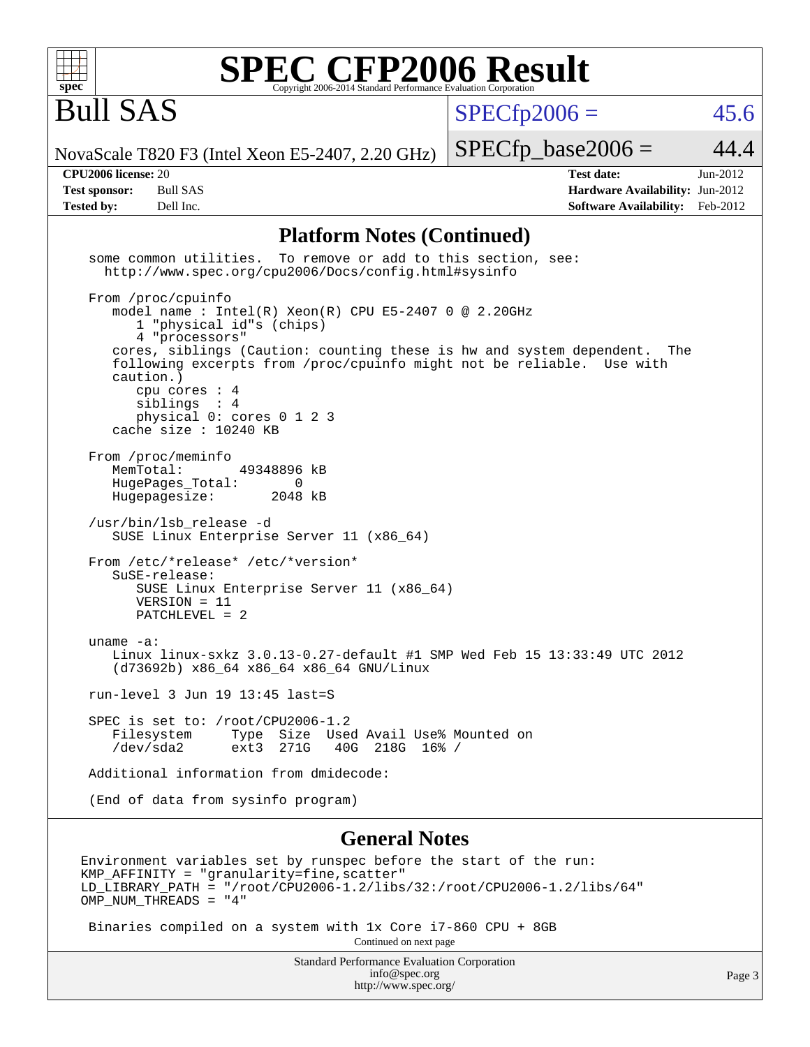

Bull SAS

 $SPECTp2006 = 45.6$ 

NovaScale T820 F3 (Intel Xeon E5-2407, 2.20 GHz)

 $SPECTp\_base2006 = 44.4$ 

**[CPU2006 license:](http://www.spec.org/auto/cpu2006/Docs/result-fields.html#CPU2006license)** 20 **[Test date:](http://www.spec.org/auto/cpu2006/Docs/result-fields.html#Testdate)** Jun-2012 **[Test sponsor:](http://www.spec.org/auto/cpu2006/Docs/result-fields.html#Testsponsor)** Bull SAS **[Hardware Availability:](http://www.spec.org/auto/cpu2006/Docs/result-fields.html#HardwareAvailability)** Jun-2012 **[Tested by:](http://www.spec.org/auto/cpu2006/Docs/result-fields.html#Testedby)** Dell Inc. **[Software Availability:](http://www.spec.org/auto/cpu2006/Docs/result-fields.html#SoftwareAvailability)** Feb-2012

#### **[Platform Notes \(Continued\)](http://www.spec.org/auto/cpu2006/Docs/result-fields.html#PlatformNotes)**

 some common utilities. To remove or add to this section, see: <http://www.spec.org/cpu2006/Docs/config.html#sysinfo> From /proc/cpuinfo model name : Intel(R) Xeon(R) CPU E5-2407 0 @ 2.20GHz 1 "physical id"s (chips) 4 "processors" cores, siblings (Caution: counting these is hw and system dependent. The following excerpts from /proc/cpuinfo might not be reliable. Use with caution.) cpu cores : 4 siblings : 4 physical 0: cores 0 1 2 3 cache size : 10240 KB From /proc/meminfo<br>MemTotal: 49348896 kB HugePages\_Total: 0<br>Hugepagesize: 2048 kB Hugepagesize: /usr/bin/lsb\_release -d SUSE Linux Enterprise Server 11 (x86\_64) From /etc/\*release\* /etc/\*version\* SuSE-release: SUSE Linux Enterprise Server 11 (x86\_64) VERSION = 11 PATCHLEVEL = 2 uname -a: Linux linux-sxkz 3.0.13-0.27-default #1 SMP Wed Feb 15 13:33:49 UTC 2012 (d73692b) x86\_64 x86\_64 x86\_64 GNU/Linux run-level 3 Jun 19 13:45 last=S SPEC is set to: /root/CPU2006-1.2 Filesystem Type Size Used Avail Use% Mounted on<br>
/dev/sda2 ext3 271G 40G 218G 16% / 40G 218G 16% / Additional information from dmidecode: (End of data from sysinfo program) **[General Notes](http://www.spec.org/auto/cpu2006/Docs/result-fields.html#GeneralNotes)**

Environment variables set by runspec before the start of the run: KMP AFFINITY = "granularity=fine, scatter" LD\_LIBRARY\_PATH = "/root/CPU2006-1.2/libs/32:/root/CPU2006-1.2/libs/64" OMP\_NUM\_THREADS = "4"

Binaries compiled on a system with 1x Core i7-860 CPU + 8GB

Continued on next page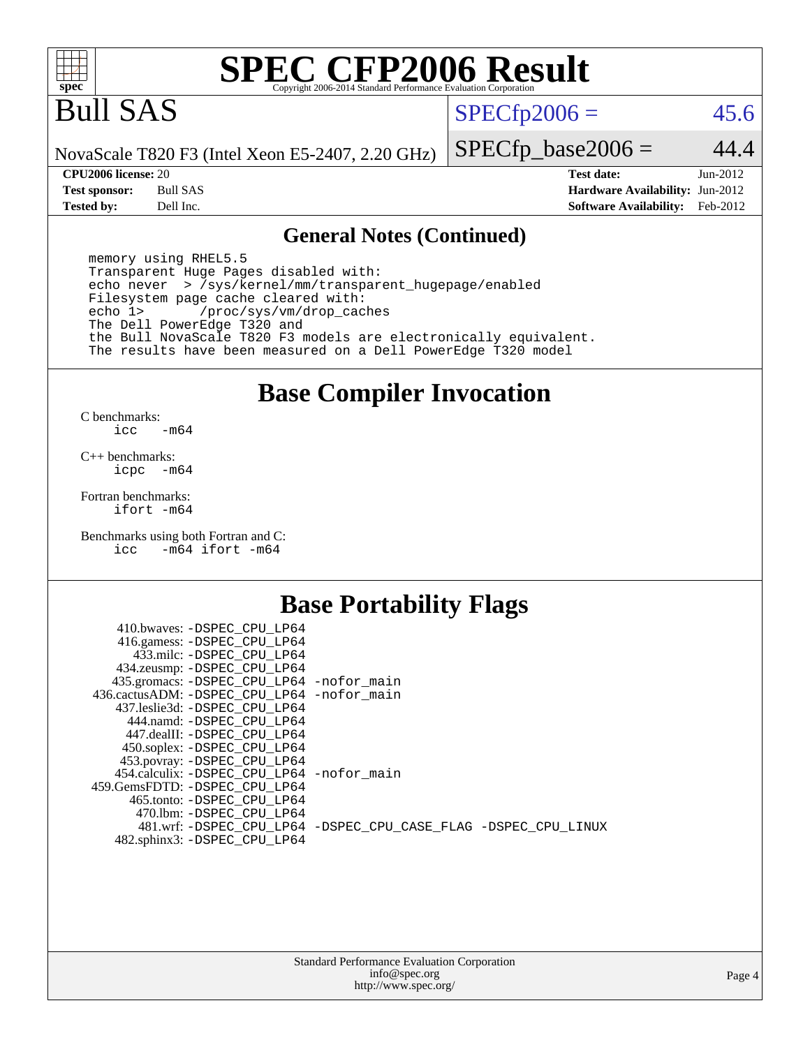

## Bull SAS

### $SPECfp2006 = 45.6$  $SPECfp2006 = 45.6$

NovaScale T820 F3 (Intel Xeon E5-2407, 2.20 GHz)

 $SPECfp\_base2006 = 44.4$ 

**[CPU2006 license:](http://www.spec.org/auto/cpu2006/Docs/result-fields.html#CPU2006license)** 20 **[Test date:](http://www.spec.org/auto/cpu2006/Docs/result-fields.html#Testdate)** Jun-2012 **[Test sponsor:](http://www.spec.org/auto/cpu2006/Docs/result-fields.html#Testsponsor)** Bull SAS **[Hardware Availability:](http://www.spec.org/auto/cpu2006/Docs/result-fields.html#HardwareAvailability)** Jun-2012 **[Tested by:](http://www.spec.org/auto/cpu2006/Docs/result-fields.html#Testedby)** Dell Inc. **[Software Availability:](http://www.spec.org/auto/cpu2006/Docs/result-fields.html#SoftwareAvailability)** Feb-2012

#### **[General Notes \(Continued\)](http://www.spec.org/auto/cpu2006/Docs/result-fields.html#GeneralNotes)**

 memory using RHEL5.5 Transparent Huge Pages disabled with: echo never > /sys/kernel/mm/transparent\_hugepage/enabled Filesystem page cache cleared with:<br>echo 1> /proc/sys/ym/drop cac /proc/sys/vm/drop\_caches The Dell PowerEdge T320 and the Bull NovaScale T820 F3 models are electronically equivalent. The results have been measured on a Dell PowerEdge T320 model

**[Base Compiler Invocation](http://www.spec.org/auto/cpu2006/Docs/result-fields.html#BaseCompilerInvocation)**

 $C$  benchmarks:<br>icc  $-m64$ 

[C++ benchmarks:](http://www.spec.org/auto/cpu2006/Docs/result-fields.html#CXXbenchmarks) [icpc -m64](http://www.spec.org/cpu2006/results/res2012q3/cpu2006-20120703-23415.flags.html#user_CXXbase_intel_icpc_64bit_bedb90c1146cab66620883ef4f41a67e)

[Fortran benchmarks](http://www.spec.org/auto/cpu2006/Docs/result-fields.html#Fortranbenchmarks): [ifort -m64](http://www.spec.org/cpu2006/results/res2012q3/cpu2006-20120703-23415.flags.html#user_FCbase_intel_ifort_64bit_ee9d0fb25645d0210d97eb0527dcc06e)

[Benchmarks using both Fortran and C](http://www.spec.org/auto/cpu2006/Docs/result-fields.html#BenchmarksusingbothFortranandC): [icc -m64](http://www.spec.org/cpu2006/results/res2012q3/cpu2006-20120703-23415.flags.html#user_CC_FCbase_intel_icc_64bit_0b7121f5ab7cfabee23d88897260401c) [ifort -m64](http://www.spec.org/cpu2006/results/res2012q3/cpu2006-20120703-23415.flags.html#user_CC_FCbase_intel_ifort_64bit_ee9d0fb25645d0210d97eb0527dcc06e)

### **[Base Portability Flags](http://www.spec.org/auto/cpu2006/Docs/result-fields.html#BasePortabilityFlags)**

| 410.bwaves: -DSPEC CPU LP64                              |                                                                |
|----------------------------------------------------------|----------------------------------------------------------------|
| 416.gamess: -DSPEC_CPU_LP64<br>433.milc: -DSPEC CPU LP64 |                                                                |
| 434.zeusmp: - DSPEC_CPU_LP64                             |                                                                |
| 435.gromacs: -DSPEC_CPU_LP64 -nofor_main                 |                                                                |
| 436.cactusADM: -DSPEC CPU LP64 -nofor main               |                                                                |
| 437.leslie3d: -DSPEC CPU LP64                            |                                                                |
| 444.namd: -DSPEC CPU LP64                                |                                                                |
| 447.dealII: -DSPEC_CPU LP64                              |                                                                |
| 450.soplex: -DSPEC_CPU_LP64                              |                                                                |
| 453.povray: -DSPEC_CPU_LP64                              |                                                                |
| 454.calculix: -DSPEC CPU LP64 -nofor main                |                                                                |
| 459. GemsFDTD: - DSPEC CPU LP64                          |                                                                |
| 465.tonto: - DSPEC CPU LP64                              |                                                                |
| 470.1bm: - DSPEC_CPU LP64                                | 481.wrf: -DSPEC CPU_LP64 -DSPEC_CPU_CASE_FLAG -DSPEC_CPU_LINUX |
| 482.sphinx3: -DSPEC_CPU_LP64                             |                                                                |
|                                                          |                                                                |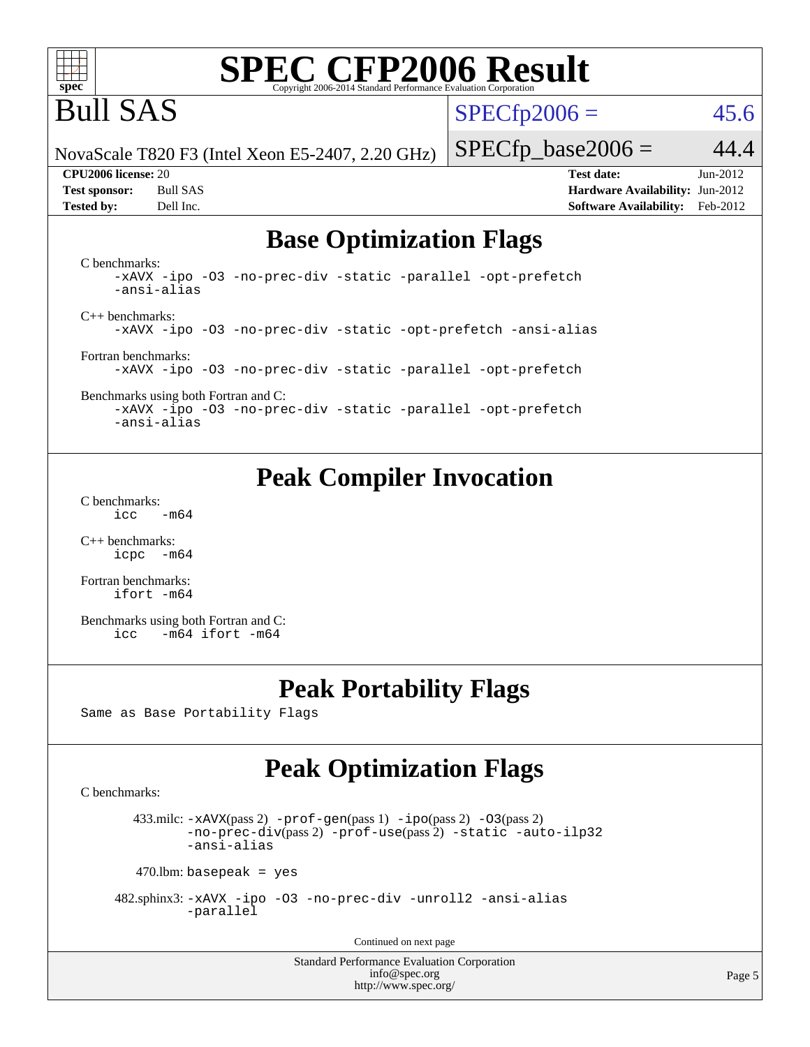

## Bull SAS

 $SPECTp2006 = 45.6$ 

NovaScale T820 F3 (Intel Xeon E5-2407, 2.20 GHz)

**[Tested by:](http://www.spec.org/auto/cpu2006/Docs/result-fields.html#Testedby)** Dell Inc. **[Software Availability:](http://www.spec.org/auto/cpu2006/Docs/result-fields.html#SoftwareAvailability)** Feb-2012

**[CPU2006 license:](http://www.spec.org/auto/cpu2006/Docs/result-fields.html#CPU2006license)** 20 **[Test date:](http://www.spec.org/auto/cpu2006/Docs/result-fields.html#Testdate)** Jun-2012 **[Test sponsor:](http://www.spec.org/auto/cpu2006/Docs/result-fields.html#Testsponsor)** Bull SAS **[Hardware Availability:](http://www.spec.org/auto/cpu2006/Docs/result-fields.html#HardwareAvailability)** Jun-2012

 $SPECfp\_base2006 = 44.4$ 

### **[Base Optimization Flags](http://www.spec.org/auto/cpu2006/Docs/result-fields.html#BaseOptimizationFlags)**

[C benchmarks](http://www.spec.org/auto/cpu2006/Docs/result-fields.html#Cbenchmarks): [-xAVX](http://www.spec.org/cpu2006/results/res2012q3/cpu2006-20120703-23415.flags.html#user_CCbase_f-xAVX) [-ipo](http://www.spec.org/cpu2006/results/res2012q3/cpu2006-20120703-23415.flags.html#user_CCbase_f-ipo) [-O3](http://www.spec.org/cpu2006/results/res2012q3/cpu2006-20120703-23415.flags.html#user_CCbase_f-O3) [-no-prec-div](http://www.spec.org/cpu2006/results/res2012q3/cpu2006-20120703-23415.flags.html#user_CCbase_f-no-prec-div) [-static](http://www.spec.org/cpu2006/results/res2012q3/cpu2006-20120703-23415.flags.html#user_CCbase_f-static) [-parallel](http://www.spec.org/cpu2006/results/res2012q3/cpu2006-20120703-23415.flags.html#user_CCbase_f-parallel) [-opt-prefetch](http://www.spec.org/cpu2006/results/res2012q3/cpu2006-20120703-23415.flags.html#user_CCbase_f-opt-prefetch) [-ansi-alias](http://www.spec.org/cpu2006/results/res2012q3/cpu2006-20120703-23415.flags.html#user_CCbase_f-ansi-alias) [C++ benchmarks:](http://www.spec.org/auto/cpu2006/Docs/result-fields.html#CXXbenchmarks) [-xAVX](http://www.spec.org/cpu2006/results/res2012q3/cpu2006-20120703-23415.flags.html#user_CXXbase_f-xAVX) [-ipo](http://www.spec.org/cpu2006/results/res2012q3/cpu2006-20120703-23415.flags.html#user_CXXbase_f-ipo) [-O3](http://www.spec.org/cpu2006/results/res2012q3/cpu2006-20120703-23415.flags.html#user_CXXbase_f-O3) [-no-prec-div](http://www.spec.org/cpu2006/results/res2012q3/cpu2006-20120703-23415.flags.html#user_CXXbase_f-no-prec-div) [-static](http://www.spec.org/cpu2006/results/res2012q3/cpu2006-20120703-23415.flags.html#user_CXXbase_f-static) [-opt-prefetch](http://www.spec.org/cpu2006/results/res2012q3/cpu2006-20120703-23415.flags.html#user_CXXbase_f-opt-prefetch) [-ansi-alias](http://www.spec.org/cpu2006/results/res2012q3/cpu2006-20120703-23415.flags.html#user_CXXbase_f-ansi-alias) [Fortran benchmarks](http://www.spec.org/auto/cpu2006/Docs/result-fields.html#Fortranbenchmarks): [-xAVX](http://www.spec.org/cpu2006/results/res2012q3/cpu2006-20120703-23415.flags.html#user_FCbase_f-xAVX) [-ipo](http://www.spec.org/cpu2006/results/res2012q3/cpu2006-20120703-23415.flags.html#user_FCbase_f-ipo) [-O3](http://www.spec.org/cpu2006/results/res2012q3/cpu2006-20120703-23415.flags.html#user_FCbase_f-O3) [-no-prec-div](http://www.spec.org/cpu2006/results/res2012q3/cpu2006-20120703-23415.flags.html#user_FCbase_f-no-prec-div) [-static](http://www.spec.org/cpu2006/results/res2012q3/cpu2006-20120703-23415.flags.html#user_FCbase_f-static) [-parallel](http://www.spec.org/cpu2006/results/res2012q3/cpu2006-20120703-23415.flags.html#user_FCbase_f-parallel) [-opt-prefetch](http://www.spec.org/cpu2006/results/res2012q3/cpu2006-20120703-23415.flags.html#user_FCbase_f-opt-prefetch)

[Benchmarks using both Fortran and C](http://www.spec.org/auto/cpu2006/Docs/result-fields.html#BenchmarksusingbothFortranandC): [-xAVX](http://www.spec.org/cpu2006/results/res2012q3/cpu2006-20120703-23415.flags.html#user_CC_FCbase_f-xAVX) [-ipo](http://www.spec.org/cpu2006/results/res2012q3/cpu2006-20120703-23415.flags.html#user_CC_FCbase_f-ipo) [-O3](http://www.spec.org/cpu2006/results/res2012q3/cpu2006-20120703-23415.flags.html#user_CC_FCbase_f-O3) [-no-prec-div](http://www.spec.org/cpu2006/results/res2012q3/cpu2006-20120703-23415.flags.html#user_CC_FCbase_f-no-prec-div) [-static](http://www.spec.org/cpu2006/results/res2012q3/cpu2006-20120703-23415.flags.html#user_CC_FCbase_f-static) [-parallel](http://www.spec.org/cpu2006/results/res2012q3/cpu2006-20120703-23415.flags.html#user_CC_FCbase_f-parallel) [-opt-prefetch](http://www.spec.org/cpu2006/results/res2012q3/cpu2006-20120703-23415.flags.html#user_CC_FCbase_f-opt-prefetch) [-ansi-alias](http://www.spec.org/cpu2006/results/res2012q3/cpu2006-20120703-23415.flags.html#user_CC_FCbase_f-ansi-alias)

### **[Peak Compiler Invocation](http://www.spec.org/auto/cpu2006/Docs/result-fields.html#PeakCompilerInvocation)**

[C benchmarks](http://www.spec.org/auto/cpu2006/Docs/result-fields.html#Cbenchmarks):  $\text{icc}$  -m64

[C++ benchmarks:](http://www.spec.org/auto/cpu2006/Docs/result-fields.html#CXXbenchmarks) [icpc -m64](http://www.spec.org/cpu2006/results/res2012q3/cpu2006-20120703-23415.flags.html#user_CXXpeak_intel_icpc_64bit_bedb90c1146cab66620883ef4f41a67e)

[Fortran benchmarks](http://www.spec.org/auto/cpu2006/Docs/result-fields.html#Fortranbenchmarks): [ifort -m64](http://www.spec.org/cpu2006/results/res2012q3/cpu2006-20120703-23415.flags.html#user_FCpeak_intel_ifort_64bit_ee9d0fb25645d0210d97eb0527dcc06e)

[Benchmarks using both Fortran and C](http://www.spec.org/auto/cpu2006/Docs/result-fields.html#BenchmarksusingbothFortranandC): [icc -m64](http://www.spec.org/cpu2006/results/res2012q3/cpu2006-20120703-23415.flags.html#user_CC_FCpeak_intel_icc_64bit_0b7121f5ab7cfabee23d88897260401c) [ifort -m64](http://www.spec.org/cpu2006/results/res2012q3/cpu2006-20120703-23415.flags.html#user_CC_FCpeak_intel_ifort_64bit_ee9d0fb25645d0210d97eb0527dcc06e)

### **[Peak Portability Flags](http://www.spec.org/auto/cpu2006/Docs/result-fields.html#PeakPortabilityFlags)**

Same as Base Portability Flags

### **[Peak Optimization Flags](http://www.spec.org/auto/cpu2006/Docs/result-fields.html#PeakOptimizationFlags)**

[C benchmarks](http://www.spec.org/auto/cpu2006/Docs/result-fields.html#Cbenchmarks):

433.milc:  $-x$ AVX(pass 2)  $-p$ rof-gen(pass 1)  $-p$ po(pass 2)  $-03$ (pass 2) [-no-prec-div](http://www.spec.org/cpu2006/results/res2012q3/cpu2006-20120703-23415.flags.html#user_peakPASS2_CFLAGSPASS2_LDFLAGS433_milc_f-no-prec-div)(pass 2) [-prof-use](http://www.spec.org/cpu2006/results/res2012q3/cpu2006-20120703-23415.flags.html#user_peakPASS2_CFLAGSPASS2_LDFLAGS433_milc_prof_use_bccf7792157ff70d64e32fe3e1250b55)(pass 2) [-static](http://www.spec.org/cpu2006/results/res2012q3/cpu2006-20120703-23415.flags.html#user_peakOPTIMIZE433_milc_f-static) [-auto-ilp32](http://www.spec.org/cpu2006/results/res2012q3/cpu2006-20120703-23415.flags.html#user_peakCOPTIMIZE433_milc_f-auto-ilp32) [-ansi-alias](http://www.spec.org/cpu2006/results/res2012q3/cpu2006-20120703-23415.flags.html#user_peakCOPTIMIZE433_milc_f-ansi-alias)

 $470$ .lbm: basepeak = yes

 482.sphinx3: [-xAVX](http://www.spec.org/cpu2006/results/res2012q3/cpu2006-20120703-23415.flags.html#user_peakOPTIMIZE482_sphinx3_f-xAVX) [-ipo](http://www.spec.org/cpu2006/results/res2012q3/cpu2006-20120703-23415.flags.html#user_peakOPTIMIZE482_sphinx3_f-ipo) [-O3](http://www.spec.org/cpu2006/results/res2012q3/cpu2006-20120703-23415.flags.html#user_peakOPTIMIZE482_sphinx3_f-O3) [-no-prec-div](http://www.spec.org/cpu2006/results/res2012q3/cpu2006-20120703-23415.flags.html#user_peakOPTIMIZE482_sphinx3_f-no-prec-div) [-unroll2](http://www.spec.org/cpu2006/results/res2012q3/cpu2006-20120703-23415.flags.html#user_peakCOPTIMIZE482_sphinx3_f-unroll_784dae83bebfb236979b41d2422d7ec2) [-ansi-alias](http://www.spec.org/cpu2006/results/res2012q3/cpu2006-20120703-23415.flags.html#user_peakCOPTIMIZE482_sphinx3_f-ansi-alias) [-parallel](http://www.spec.org/cpu2006/results/res2012q3/cpu2006-20120703-23415.flags.html#user_peakCOPTIMIZE482_sphinx3_f-parallel)

Continued on next page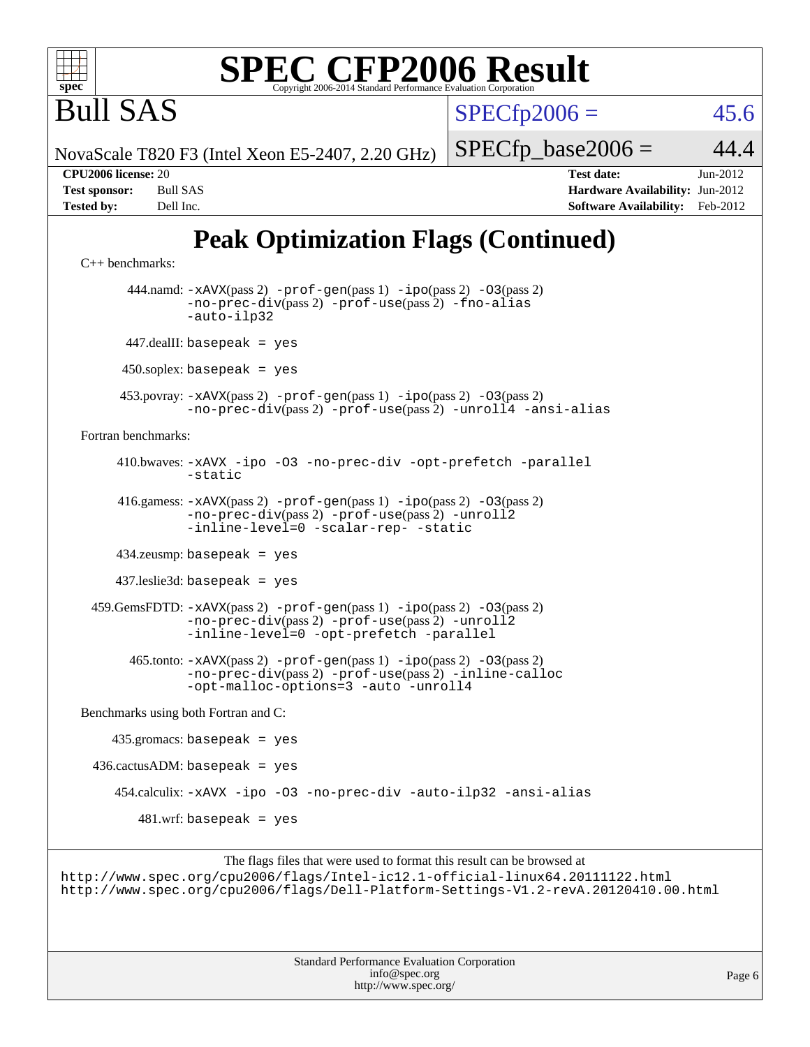

 $SPECfp2006 = 45.6$  $SPECfp2006 = 45.6$ 

NovaScale T820 F3 (Intel Xeon E5-2407, 2.20 GHz)

 $SPECTp\_base2006 = 44.4$ **[CPU2006 license:](http://www.spec.org/auto/cpu2006/Docs/result-fields.html#CPU2006license)** 20 **[Test date:](http://www.spec.org/auto/cpu2006/Docs/result-fields.html#Testdate)** Jun-2012

Bull SAS

**[Test sponsor:](http://www.spec.org/auto/cpu2006/Docs/result-fields.html#Testsponsor)** Bull SAS **[Hardware Availability:](http://www.spec.org/auto/cpu2006/Docs/result-fields.html#HardwareAvailability)** Jun-2012 **[Tested by:](http://www.spec.org/auto/cpu2006/Docs/result-fields.html#Testedby)** Dell Inc. **[Software Availability:](http://www.spec.org/auto/cpu2006/Docs/result-fields.html#SoftwareAvailability)** Feb-2012

### **[Peak Optimization Flags \(Continued\)](http://www.spec.org/auto/cpu2006/Docs/result-fields.html#PeakOptimizationFlags)**

```
C++ benchmarks: 
        444.namd: -xAVX(pass 2) -prof-gen(pass 1) -ipo(pass 2) -O3(pass 2)
               -no-prec-div(pass 2) -prof-use(pass 2) -fno-alias
                -auto-ilp32
       447.dealII: basepeak = yes
       450.soplex: basepeak = yes
      453.povray: -xAVX(pass 2) -prof-gen(pass 1) -ipo(pass 2) -O3(pass 2)
                -no-prec-div(pass 2) -prof-use(pass 2) -unroll4 -ansi-alias
Fortran benchmarks: 
      410.bwaves: -xAVX -ipo -O3 -no-prec-div -opt-prefetch -parallel
               -static
      416.gamess: -xAVX(pass 2) -prof-gen(pass 1) -ipo(pass 2) -O3(pass 2)
                -no-prec-div(pass 2) -prof-use(pass 2) -unroll2
                -inline-level=0-scalar-rep--static
      434.zeusmp: basepeak = yes
      437.leslie3d: basepeak = yes
  459.GemsFDTD: -xAVX(pass 2) -prof-gen(pass 1) -ipo(pass 2) -O3(pass 2)
                -no-prec-div(pass 2) -prof-use(pass 2) -unroll2
                -inline-level=0 -opt-prefetch -parallel
        465.tonto: -xAVX(pass 2) -prof-gen(pass 1) -ipo(pass 2) -O3(pass 2)
                -no-prec-div(pass 2) -prof-use(pass 2) -inline-calloc
                -opt-malloc-options=3 -auto -unroll4
Benchmarks using both Fortran and C: 
     435.gromacs: basepeak = yes
 436.cactusADM: basepeak = yes 454.calculix: -xAVX -ipo -O3 -no-prec-div -auto-ilp32 -ansi-alias
        481.wrf: basepeak = yes
```
The flags files that were used to format this result can be browsed at <http://www.spec.org/cpu2006/flags/Intel-ic12.1-official-linux64.20111122.html> <http://www.spec.org/cpu2006/flags/Dell-Platform-Settings-V1.2-revA.20120410.00.html>